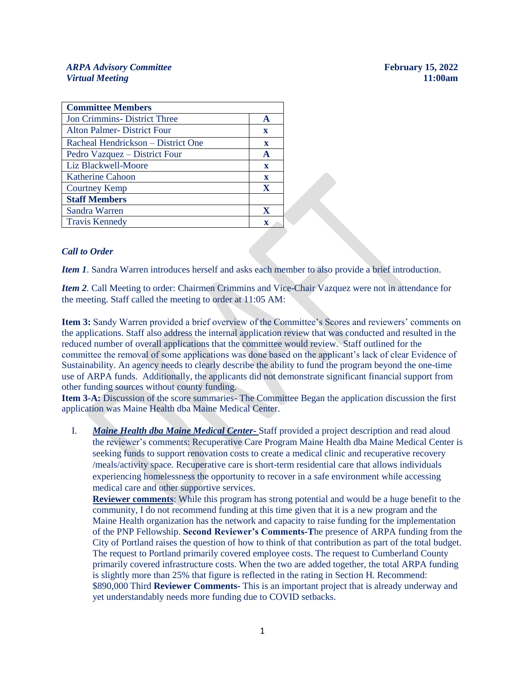# *ARPA Advisory Committee* **February 15, 2022** *Virtual Meeting* **11:00am**

| <b>Committee Members</b>           |              |
|------------------------------------|--------------|
| <b>Jon Crimmins-District Three</b> | A            |
| <b>Alton Palmer-District Four</b>  | $\mathbf x$  |
| Racheal Hendrickson – District One | $\mathbf{x}$ |
| Pedro Vazquez – District Four      | A            |
| Liz Blackwell-Moore                | $\mathbf{x}$ |
| <b>Katherine Cahoon</b>            | $\mathbf x$  |
| <b>Courtney Kemp</b>               | X            |
| <b>Staff Members</b>               |              |
| Sandra Warren                      | X            |
| <b>Travis Kennedy</b>              | X            |

## *Call to Order*

*Item 1*. Sandra Warren introduces herself and asks each member to also provide a brief introduction.

*Item 2.* Call Meeting to order: Chairmen Crimmins and Vice-Chair Vazquez were not in attendance for the meeting. Staff called the meeting to order at 11:05 AM:

**Item 3:** Sandy Warren provided a brief overview of the Committee's Scores and reviewers' comments on the applications. Staff also address the internal application review that was conducted and resulted in the reduced number of overall applications that the committee would review. Staff outlined for the committee the removal of some applications was done based on the applicant's lack of clear Evidence of Sustainability. An agency needs to clearly describe the ability to fund the program beyond the one-time use of ARPA funds. Additionally, the applicants did not demonstrate significant financial support from other funding sources without county funding.

**Item 3-A:** Discussion of the score summaries- The Committee Began the application discussion the first application was Maine Health dba Maine Medical Center.

I. *Maine Health dba Maine Medical Center-* Staff provided a project description and read aloud the reviewer's comments: Recuperative Care Program Maine Health dba Maine Medical Center is seeking funds to support renovation costs to create a medical clinic and recuperative recovery /meals/activity space. Recuperative care is short-term residential care that allows individuals experiencing homelessness the opportunity to recover in a safe environment while accessing medical care and other supportive services.

**Reviewer comments**: While this program has strong potential and would be a huge benefit to the community, I do not recommend funding at this time given that it is a new program and the Maine Health organization has the network and capacity to raise funding for the implementation of the PNP Fellowship. **Second Reviewer's Comments-T**he presence of ARPA funding from the City of Portland raises the question of how to think of that contribution as part of the total budget. The request to Portland primarily covered employee costs. The request to Cumberland County primarily covered infrastructure costs. When the two are added together, the total ARPA funding is slightly more than 25% that figure is reflected in the rating in Section H. Recommend: \$890,000 Third **Reviewer Comments-** This is an important project that is already underway and yet understandably needs more funding due to COVID setbacks.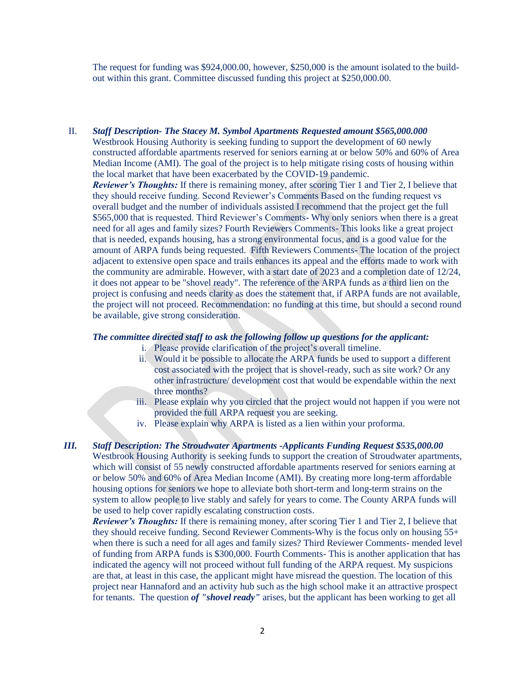The request for funding was \$924,000.00, however, \$250,000 is the amount isolated to the buildout within this grant. Committee discussed funding this project at \$250,000.00.

II. *Staff Description- The Stacey M. Symbol Apartments Requested amount \$565,000.000*  Westbrook Housing Authority is seeking funding to support the development of 60 newly constructed affordable apartments reserved for seniors earning at or below 50% and 60% of Area Median Income (AMI). The goal of the project is to help mitigate rising costs of housing within the local market that have been exacerbated by the COVID-19 pandemic. *Reviewer's Thoughts:* If there is remaining money, after scoring Tier 1 and Tier 2, I believe that they should receive funding. Second Reviewer's Comments Based on the funding request vs overall budget and the number of individuals assisted I recommend that the project get the full \$565,000 that is requested. Third Reviewer's Comments- Why only seniors when there is a great need for all ages and family sizes? Fourth Reviewers Comments- This looks like a great project that is needed, expands housing, has a strong environmental focus, and is a good value for the amount of ARPA funds being requested. Fifth Reviewers Comments- The location of the project adjacent to extensive open space and trails enhances its appeal and the efforts made to work with the community are admirable. However, with a start date of 2023 and a completion date of 12/24, it does not appear to be "shovel ready". The reference of the ARPA funds as a third lien on the project is confusing and needs clarity as does the statement that, if ARPA funds are not available, the project will not proceed. Recommendation: no funding at this time, but should a second round be available, give strong consideration.

# *The committee directed staff to ask the following follow up questions for the applicant:*

- i. Please provide clarification of the project's overall timeline.
- ii. Would it be possible to allocate the ARPA funds be used to support a different cost associated with the project that is shovel-ready, such as site work? Or any other infrastructure/ development cost that would be expendable within the next three months?
- iii. Please explain why you circled that the project would not happen if you were not provided the full ARPA request you are seeking.
- iv. Please explain why ARPA is listed as a lien within your proforma.

*III. Staff Description: The Stroudwater Apartments -Applicants Funding Request \$535,000.00* Westbrook Housing Authority is seeking funds to support the creation of Stroudwater apartments, which will consist of 55 newly constructed affordable apartments reserved for seniors earning at or below 50% and 60% of Area Median Income (AMI). By creating more long-term affordable housing options for seniors we hope to alleviate both short-term and long-term strains on the system to allow people to live stably and safely for years to come. The County ARPA funds will be used to help cover rapidly escalating construction costs.

*Reviewer's Thoughts:* If there is remaining money, after scoring Tier 1 and Tier 2, I believe that they should receive funding. Second Reviewer Comments-Why is the focus only on housing 55+ when there is such a need for all ages and family sizes? Third Reviewer Comments- mended level of funding from ARPA funds is \$300,000. Fourth Comments- This is another application that has indicated the agency will not proceed without full funding of the ARPA request. My suspicions are that, at least in this case, the applicant might have misread the question. The location of this project near Hannaford and an activity hub such as the high school make it an attractive prospect for tenants. The question *of "shovel ready"* arises, but the applicant has been working to get all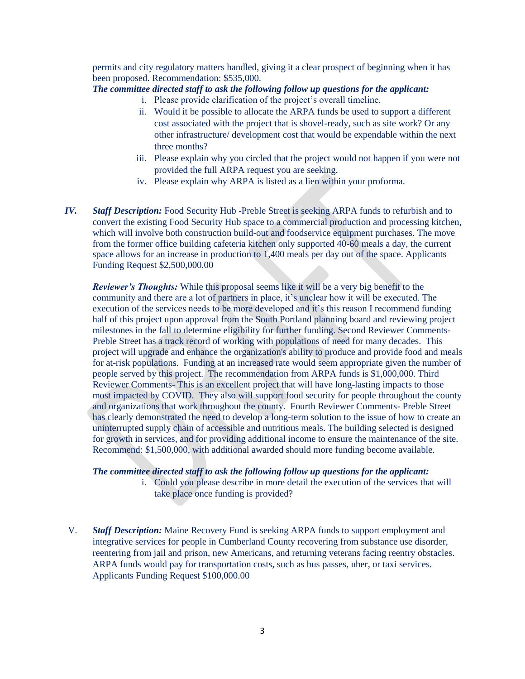permits and city regulatory matters handled, giving it a clear prospect of beginning when it has been proposed. Recommendation: \$535,000.

# *The committee directed staff to ask the following follow up questions for the applicant:*

- i. Please provide clarification of the project's overall timeline.
- ii. Would it be possible to allocate the ARPA funds be used to support a different cost associated with the project that is shovel-ready, such as site work? Or any other infrastructure/ development cost that would be expendable within the next three months?
- iii. Please explain why you circled that the project would not happen if you were not provided the full ARPA request you are seeking.
- iv. Please explain why ARPA is listed as a lien within your proforma.
- *IV. Staff Description:* Food Security Hub -Preble Street is seeking ARPA funds to refurbish and to convert the existing Food Security Hub space to a commercial production and processing kitchen, which will involve both construction build-out and foodservice equipment purchases. The move from the former office building cafeteria kitchen only supported 40-60 meals a day, the current space allows for an increase in production to 1,400 meals per day out of the space. Applicants Funding Request \$2,500,000.00

*Reviewer's Thoughts:* While this proposal seems like it will be a very big benefit to the community and there are a lot of partners in place, it's unclear how it will be executed. The execution of the services needs to be more developed and it's this reason I recommend funding half of this project upon approval from the South Portland planning board and reviewing project milestones in the fall to determine eligibility for further funding. Second Reviewer Comments-Preble Street has a track record of working with populations of need for many decades. This project will upgrade and enhance the organization's ability to produce and provide food and meals for at-risk populations. Funding at an increased rate would seem appropriate given the number of people served by this project. The recommendation from ARPA funds is \$1,000,000. Third Reviewer Comments- This is an excellent project that will have long-lasting impacts to those most impacted by COVID. They also will support food security for people throughout the county and organizations that work throughout the county. Fourth Reviewer Comments- Preble Street has clearly demonstrated the need to develop a long-term solution to the issue of how to create an uninterrupted supply chain of accessible and nutritious meals. The building selected is designed for growth in services, and for providing additional income to ensure the maintenance of the site. Recommend: \$1,500,000, with additional awarded should more funding become available.

## *The committee directed staff to ask the following follow up questions for the applicant:*

- i. Could you please describe in more detail the execution of the services that will take place once funding is provided?
- V. *Staff Description:* Maine Recovery Fund is seeking ARPA funds to support employment and integrative services for people in Cumberland County recovering from substance use disorder, reentering from jail and prison, new Americans, and returning veterans facing reentry obstacles. ARPA funds would pay for transportation costs, such as bus passes, uber, or taxi services. Applicants Funding Request \$100,000.00